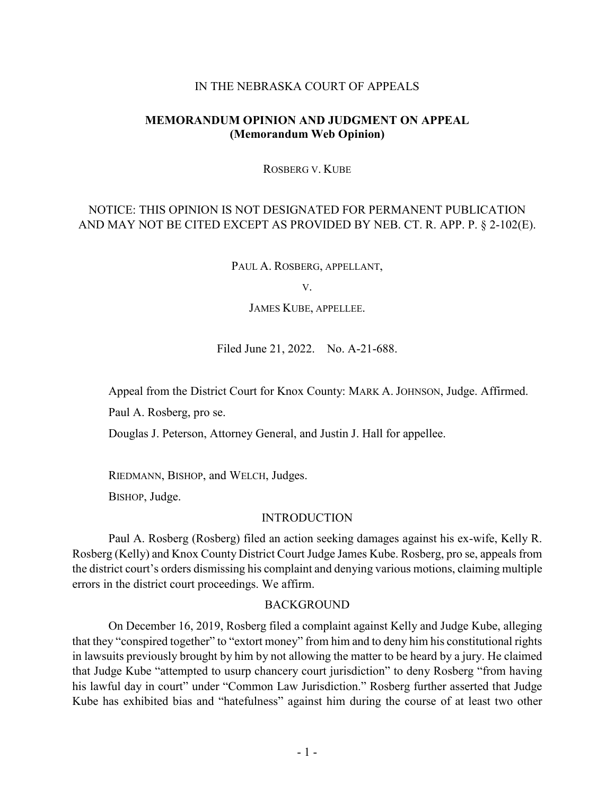## IN THE NEBRASKA COURT OF APPEALS

## **MEMORANDUM OPINION AND JUDGMENT ON APPEAL (Memorandum Web Opinion)**

ROSBERG V. KUBE

# NOTICE: THIS OPINION IS NOT DESIGNATED FOR PERMANENT PUBLICATION AND MAY NOT BE CITED EXCEPT AS PROVIDED BY NEB. CT. R. APP. P. § 2-102(E).

PAUL A. ROSBERG, APPELLANT,

V.

JAMES KUBE, APPELLEE.

Filed June 21, 2022. No. A-21-688.

Appeal from the District Court for Knox County: MARK A. JOHNSON, Judge. Affirmed.

Paul A. Rosberg, pro se.

Douglas J. Peterson, Attorney General, and Justin J. Hall for appellee.

RIEDMANN, BISHOP, and WELCH, Judges.

BISHOP, Judge.

### INTRODUCTION

Paul A. Rosberg (Rosberg) filed an action seeking damages against his ex-wife, Kelly R. Rosberg (Kelly) and Knox County District Court Judge James Kube. Rosberg, pro se, appeals from the district court's orders dismissing his complaint and denying various motions, claiming multiple errors in the district court proceedings. We affirm.

### BACKGROUND

On December 16, 2019, Rosberg filed a complaint against Kelly and Judge Kube, alleging that they "conspired together" to "extort money" from him and to deny him his constitutional rights in lawsuits previously brought by him by not allowing the matter to be heard by a jury. He claimed that Judge Kube "attempted to usurp chancery court jurisdiction" to deny Rosberg "from having his lawful day in court" under "Common Law Jurisdiction." Rosberg further asserted that Judge Kube has exhibited bias and "hatefulness" against him during the course of at least two other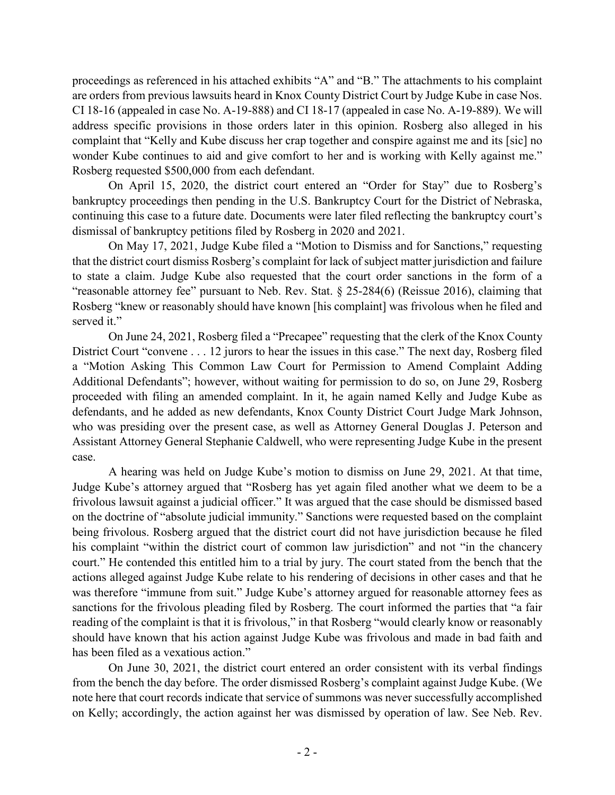proceedings as referenced in his attached exhibits "A" and "B." The attachments to his complaint are orders from previous lawsuits heard in Knox County District Court by Judge Kube in case Nos. CI 18-16 (appealed in case No. A-19-888) and CI 18-17 (appealed in case No. A-19-889). We will address specific provisions in those orders later in this opinion. Rosberg also alleged in his complaint that "Kelly and Kube discuss her crap together and conspire against me and its [sic] no wonder Kube continues to aid and give comfort to her and is working with Kelly against me." Rosberg requested \$500,000 from each defendant.

On April 15, 2020, the district court entered an "Order for Stay" due to Rosberg's bankruptcy proceedings then pending in the U.S. Bankruptcy Court for the District of Nebraska, continuing this case to a future date. Documents were later filed reflecting the bankruptcy court's dismissal of bankruptcy petitions filed by Rosberg in 2020 and 2021.

On May 17, 2021, Judge Kube filed a "Motion to Dismiss and for Sanctions," requesting that the district court dismiss Rosberg's complaint for lack of subject matter jurisdiction and failure to state a claim. Judge Kube also requested that the court order sanctions in the form of a "reasonable attorney fee" pursuant to Neb. Rev. Stat. § 25-284(6) (Reissue 2016), claiming that Rosberg "knew or reasonably should have known [his complaint] was frivolous when he filed and served it."

On June 24, 2021, Rosberg filed a "Precapee" requesting that the clerk of the Knox County District Court "convene . . . 12 jurors to hear the issues in this case." The next day, Rosberg filed a "Motion Asking This Common Law Court for Permission to Amend Complaint Adding Additional Defendants"; however, without waiting for permission to do so, on June 29, Rosberg proceeded with filing an amended complaint. In it, he again named Kelly and Judge Kube as defendants, and he added as new defendants, Knox County District Court Judge Mark Johnson, who was presiding over the present case, as well as Attorney General Douglas J. Peterson and Assistant Attorney General Stephanie Caldwell, who were representing Judge Kube in the present case.

A hearing was held on Judge Kube's motion to dismiss on June 29, 2021. At that time, Judge Kube's attorney argued that "Rosberg has yet again filed another what we deem to be a frivolous lawsuit against a judicial officer." It was argued that the case should be dismissed based on the doctrine of "absolute judicial immunity." Sanctions were requested based on the complaint being frivolous. Rosberg argued that the district court did not have jurisdiction because he filed his complaint "within the district court of common law jurisdiction" and not "in the chancery court." He contended this entitled him to a trial by jury. The court stated from the bench that the actions alleged against Judge Kube relate to his rendering of decisions in other cases and that he was therefore "immune from suit." Judge Kube's attorney argued for reasonable attorney fees as sanctions for the frivolous pleading filed by Rosberg. The court informed the parties that "a fair reading of the complaint is that it is frivolous," in that Rosberg "would clearly know or reasonably should have known that his action against Judge Kube was frivolous and made in bad faith and has been filed as a vexatious action."

On June 30, 2021, the district court entered an order consistent with its verbal findings from the bench the day before. The order dismissed Rosberg's complaint against Judge Kube. (We note here that court records indicate that service of summons was never successfully accomplished on Kelly; accordingly, the action against her was dismissed by operation of law. See Neb. Rev.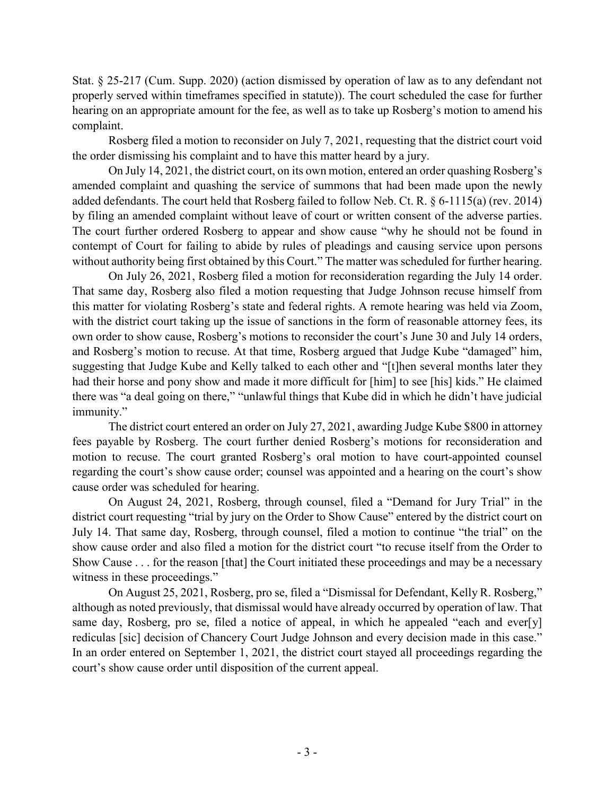Stat. § 25-217 (Cum. Supp. 2020) (action dismissed by operation of law as to any defendant not properly served within timeframes specified in statute)). The court scheduled the case for further hearing on an appropriate amount for the fee, as well as to take up Rosberg's motion to amend his complaint.

Rosberg filed a motion to reconsider on July 7, 2021, requesting that the district court void the order dismissing his complaint and to have this matter heard by a jury.

On July 14, 2021, the district court, on its own motion, entered an order quashing Rosberg's amended complaint and quashing the service of summons that had been made upon the newly added defendants. The court held that Rosberg failed to follow Neb. Ct. R. § 6-1115(a) (rev. 2014) by filing an amended complaint without leave of court or written consent of the adverse parties. The court further ordered Rosberg to appear and show cause "why he should not be found in contempt of Court for failing to abide by rules of pleadings and causing service upon persons without authority being first obtained by this Court." The matter was scheduled for further hearing.

On July 26, 2021, Rosberg filed a motion for reconsideration regarding the July 14 order. That same day, Rosberg also filed a motion requesting that Judge Johnson recuse himself from this matter for violating Rosberg's state and federal rights. A remote hearing was held via Zoom, with the district court taking up the issue of sanctions in the form of reasonable attorney fees, its own order to show cause, Rosberg's motions to reconsider the court's June 30 and July 14 orders, and Rosberg's motion to recuse. At that time, Rosberg argued that Judge Kube "damaged" him, suggesting that Judge Kube and Kelly talked to each other and "[t]hen several months later they had their horse and pony show and made it more difficult for [him] to see [his] kids." He claimed there was "a deal going on there," "unlawful things that Kube did in which he didn't have judicial immunity."

The district court entered an order on July 27, 2021, awarding Judge Kube \$800 in attorney fees payable by Rosberg. The court further denied Rosberg's motions for reconsideration and motion to recuse. The court granted Rosberg's oral motion to have court-appointed counsel regarding the court's show cause order; counsel was appointed and a hearing on the court's show cause order was scheduled for hearing.

On August 24, 2021, Rosberg, through counsel, filed a "Demand for Jury Trial" in the district court requesting "trial by jury on the Order to Show Cause" entered by the district court on July 14. That same day, Rosberg, through counsel, filed a motion to continue "the trial" on the show cause order and also filed a motion for the district court "to recuse itself from the Order to Show Cause . . . for the reason [that] the Court initiated these proceedings and may be a necessary witness in these proceedings."

On August 25, 2021, Rosberg, pro se, filed a "Dismissal for Defendant, Kelly R. Rosberg," although as noted previously, that dismissal would have already occurred by operation of law. That same day, Rosberg, pro se, filed a notice of appeal, in which he appealed "each and ever[y] rediculas [sic] decision of Chancery Court Judge Johnson and every decision made in this case." In an order entered on September 1, 2021, the district court stayed all proceedings regarding the court's show cause order until disposition of the current appeal.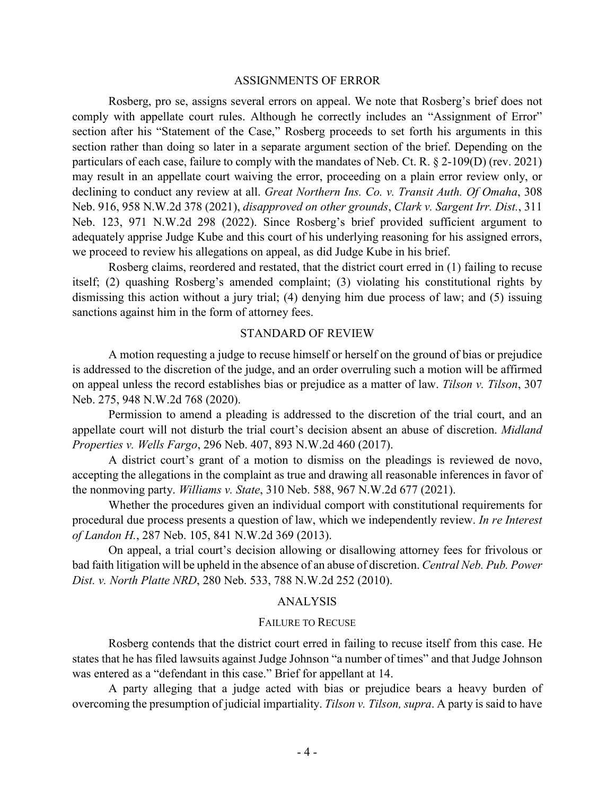### ASSIGNMENTS OF ERROR

Rosberg, pro se, assigns several errors on appeal. We note that Rosberg's brief does not comply with appellate court rules. Although he correctly includes an "Assignment of Error" section after his "Statement of the Case," Rosberg proceeds to set forth his arguments in this section rather than doing so later in a separate argument section of the brief. Depending on the particulars of each case, failure to comply with the mandates of Neb. Ct. R. § 2-109(D) (rev. 2021) may result in an appellate court waiving the error, proceeding on a plain error review only, or declining to conduct any review at all. *Great Northern Ins. Co. v. Transit Auth. Of Omaha*, 308 Neb. 916, 958 N.W.2d 378 (2021), *disapproved on other grounds*, *Clark v. Sargent Irr. Dist.*, 311 Neb. 123, 971 N.W.2d 298 (2022). Since Rosberg's brief provided sufficient argument to adequately apprise Judge Kube and this court of his underlying reasoning for his assigned errors, we proceed to review his allegations on appeal, as did Judge Kube in his brief.

Rosberg claims, reordered and restated, that the district court erred in (1) failing to recuse itself; (2) quashing Rosberg's amended complaint; (3) violating his constitutional rights by dismissing this action without a jury trial; (4) denying him due process of law; and (5) issuing sanctions against him in the form of attorney fees.

### STANDARD OF REVIEW

A motion requesting a judge to recuse himself or herself on the ground of bias or prejudice is addressed to the discretion of the judge, and an order overruling such a motion will be affirmed on appeal unless the record establishes bias or prejudice as a matter of law. *Tilson v. Tilson*, 307 Neb. 275, 948 N.W.2d 768 (2020).

Permission to amend a pleading is addressed to the discretion of the trial court, and an appellate court will not disturb the trial court's decision absent an abuse of discretion. *Midland Properties v. Wells Fargo*, 296 Neb. 407, 893 N.W.2d 460 (2017).

A district court's grant of a motion to dismiss on the pleadings is reviewed de novo, accepting the allegations in the complaint as true and drawing all reasonable inferences in favor of the nonmoving party. *Williams v. State*, 310 Neb. 588, 967 N.W.2d 677 (2021).

Whether the procedures given an individual comport with constitutional requirements for procedural due process presents a question of law, which we independently review. *In re Interest of Landon H.*, 287 Neb. 105, 841 N.W.2d 369 (2013).

On appeal, a trial court's decision allowing or disallowing attorney fees for frivolous or bad faith litigation will be upheld in the absence of an abuse of discretion. *Central Neb. Pub. Power Dist. v. North Platte NRD*, 280 Neb. 533, 788 N.W.2d 252 (2010).

### ANALYSIS

#### FAILURE TO RECUSE

Rosberg contends that the district court erred in failing to recuse itself from this case. He states that he has filed lawsuits against Judge Johnson "a number of times" and that Judge Johnson was entered as a "defendant in this case." Brief for appellant at 14.

A party alleging that a judge acted with bias or prejudice bears a heavy burden of overcoming the presumption of judicial impartiality. *Tilson v. Tilson, supra*. A party is said to have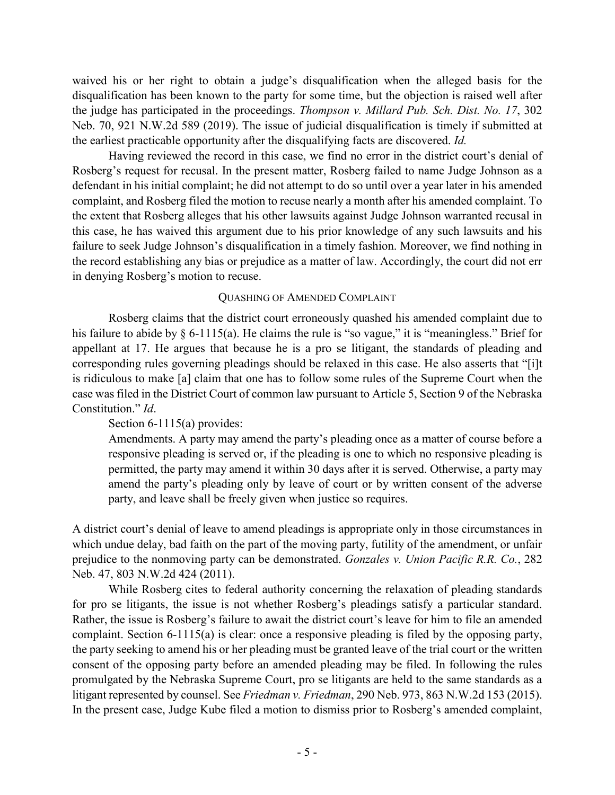waived his or her right to obtain a judge's disqualification when the alleged basis for the disqualification has been known to the party for some time, but the objection is raised well after the judge has participated in the proceedings. *Thompson v. Millard Pub. Sch. Dist. No. 17*, 302 Neb. 70, 921 N.W.2d 589 (2019). The issue of judicial disqualification is timely if submitted at the earliest practicable opportunity after the disqualifying facts are discovered. *Id.*

Having reviewed the record in this case, we find no error in the district court's denial of Rosberg's request for recusal. In the present matter, Rosberg failed to name Judge Johnson as a defendant in his initial complaint; he did not attempt to do so until over a year later in his amended complaint, and Rosberg filed the motion to recuse nearly a month after his amended complaint. To the extent that Rosberg alleges that his other lawsuits against Judge Johnson warranted recusal in this case, he has waived this argument due to his prior knowledge of any such lawsuits and his failure to seek Judge Johnson's disqualification in a timely fashion. Moreover, we find nothing in the record establishing any bias or prejudice as a matter of law. Accordingly, the court did not err in denying Rosberg's motion to recuse.

## QUASHING OF AMENDED COMPLAINT

Rosberg claims that the district court erroneously quashed his amended complaint due to his failure to abide by § 6-1115(a). He claims the rule is "so vague," it is "meaningless." Brief for appellant at 17. He argues that because he is a pro se litigant, the standards of pleading and corresponding rules governing pleadings should be relaxed in this case. He also asserts that "[i]t is ridiculous to make [a] claim that one has to follow some rules of the Supreme Court when the case was filed in the District Court of common law pursuant to Article 5, Section 9 of the Nebraska Constitution." *Id*.

# Section 6-1115(a) provides:

Amendments. A party may amend the party's pleading once as a matter of course before a responsive pleading is served or, if the pleading is one to which no responsive pleading is permitted, the party may amend it within 30 days after it is served. Otherwise, a party may amend the party's pleading only by leave of court or by written consent of the adverse party, and leave shall be freely given when justice so requires.

A district court's denial of leave to amend pleadings is appropriate only in those circumstances in which undue delay, bad faith on the part of the moving party, futility of the amendment, or unfair prejudice to the nonmoving party can be demonstrated. *Gonzales v. Union Pacific R.R. Co.*, 282 Neb. 47, 803 N.W.2d 424 (2011).

While Rosberg cites to federal authority concerning the relaxation of pleading standards for pro se litigants, the issue is not whether Rosberg's pleadings satisfy a particular standard. Rather, the issue is Rosberg's failure to await the district court's leave for him to file an amended complaint. Section 6-1115(a) is clear: once a responsive pleading is filed by the opposing party, the party seeking to amend his or her pleading must be granted leave of the trial court or the written consent of the opposing party before an amended pleading may be filed. In following the rules promulgated by the Nebraska Supreme Court, pro se litigants are held to the same standards as a litigant represented by counsel. See *Friedman v. Friedman*, 290 Neb. 973, 863 N.W.2d 153 (2015). In the present case, Judge Kube filed a motion to dismiss prior to Rosberg's amended complaint,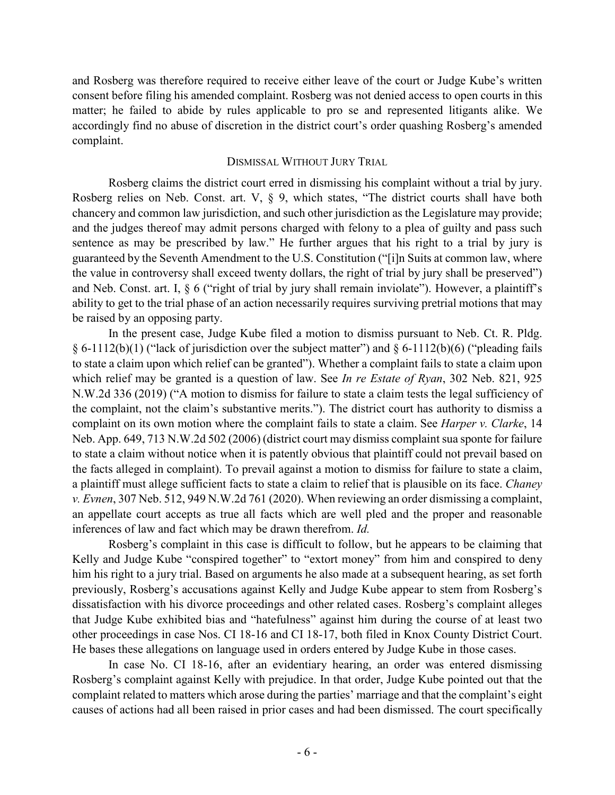and Rosberg was therefore required to receive either leave of the court or Judge Kube's written consent before filing his amended complaint. Rosberg was not denied access to open courts in this matter; he failed to abide by rules applicable to pro se and represented litigants alike. We accordingly find no abuse of discretion in the district court's order quashing Rosberg's amended complaint.

## DISMISSAL WITHOUT JURY TRIAL

Rosberg claims the district court erred in dismissing his complaint without a trial by jury. Rosberg relies on Neb. Const. art. V, § 9, which states, "The district courts shall have both chancery and common law jurisdiction, and such other jurisdiction as the Legislature may provide; and the judges thereof may admit persons charged with felony to a plea of guilty and pass such sentence as may be prescribed by law." He further argues that his right to a trial by jury is guaranteed by the Seventh Amendment to the U.S. Constitution ("[i]n Suits at common law, where the value in controversy shall exceed twenty dollars, the right of trial by jury shall be preserved") and Neb. Const. art. I, § 6 ("right of trial by jury shall remain inviolate"). However, a plaintiff's ability to get to the trial phase of an action necessarily requires surviving pretrial motions that may be raised by an opposing party.

In the present case, Judge Kube filed a motion to dismiss pursuant to Neb. Ct. R. Pldg.  $§ 6-1112(b)(1)$  ("lack of jurisdiction over the subject matter") and  $§ 6-1112(b)(6)$  ("pleading fails to state a claim upon which relief can be granted"). Whether a complaint fails to state a claim upon which relief may be granted is a question of law. See *In re Estate of Ryan*, 302 Neb. 821, 925 N.W.2d 336 (2019) ("A motion to dismiss for failure to state a claim tests the legal sufficiency of the complaint, not the claim's substantive merits."). The district court has authority to dismiss a complaint on its own motion where the complaint fails to state a claim. See *Harper v. Clarke*, 14 Neb. App. 649, 713 N.W.2d 502 (2006) (district court may dismiss complaint sua sponte for failure to state a claim without notice when it is patently obvious that plaintiff could not prevail based on the facts alleged in complaint). To prevail against a motion to dismiss for failure to state a claim, a plaintiff must allege sufficient facts to state a claim to relief that is plausible on its face. *Chaney v. Evnen*, 307 Neb. 512, 949 N.W.2d 761 (2020). When reviewing an order dismissing a complaint, an appellate court accepts as true all facts which are well pled and the proper and reasonable inferences of law and fact which may be drawn therefrom. *Id.*

Rosberg's complaint in this case is difficult to follow, but he appears to be claiming that Kelly and Judge Kube "conspired together" to "extort money" from him and conspired to deny him his right to a jury trial. Based on arguments he also made at a subsequent hearing, as set forth previously, Rosberg's accusations against Kelly and Judge Kube appear to stem from Rosberg's dissatisfaction with his divorce proceedings and other related cases. Rosberg's complaint alleges that Judge Kube exhibited bias and "hatefulness" against him during the course of at least two other proceedings in case Nos. CI 18-16 and CI 18-17, both filed in Knox County District Court. He bases these allegations on language used in orders entered by Judge Kube in those cases.

In case No. CI 18-16, after an evidentiary hearing, an order was entered dismissing Rosberg's complaint against Kelly with prejudice. In that order, Judge Kube pointed out that the complaint related to matters which arose during the parties' marriage and that the complaint's eight causes of actions had all been raised in prior cases and had been dismissed. The court specifically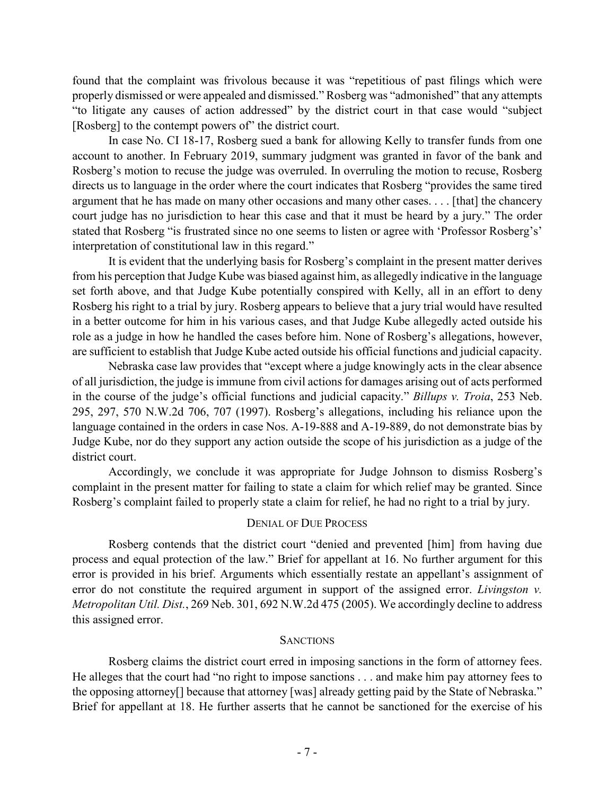found that the complaint was frivolous because it was "repetitious of past filings which were properly dismissed or were appealed and dismissed." Rosberg was "admonished" that any attempts "to litigate any causes of action addressed" by the district court in that case would "subject [Rosberg] to the contempt powers of" the district court.

In case No. CI 18-17, Rosberg sued a bank for allowing Kelly to transfer funds from one account to another. In February 2019, summary judgment was granted in favor of the bank and Rosberg's motion to recuse the judge was overruled. In overruling the motion to recuse, Rosberg directs us to language in the order where the court indicates that Rosberg "provides the same tired argument that he has made on many other occasions and many other cases. . . . [that] the chancery court judge has no jurisdiction to hear this case and that it must be heard by a jury." The order stated that Rosberg "is frustrated since no one seems to listen or agree with 'Professor Rosberg's' interpretation of constitutional law in this regard."

It is evident that the underlying basis for Rosberg's complaint in the present matter derives from his perception that Judge Kube was biased against him, as allegedly indicative in the language set forth above, and that Judge Kube potentially conspired with Kelly, all in an effort to deny Rosberg his right to a trial by jury. Rosberg appears to believe that a jury trial would have resulted in a better outcome for him in his various cases, and that Judge Kube allegedly acted outside his role as a judge in how he handled the cases before him. None of Rosberg's allegations, however, are sufficient to establish that Judge Kube acted outside his official functions and judicial capacity.

Nebraska case law provides that "except where a judge knowingly acts in the clear absence of all jurisdiction, the judge is immune from civil actions for damages arising out of acts performed in the course of the judge's official functions and judicial capacity." *Billups v. Troia*, 253 Neb. 295, 297, 570 N.W.2d 706, 707 (1997). Rosberg's allegations, including his reliance upon the language contained in the orders in case Nos. A-19-888 and A-19-889, do not demonstrate bias by Judge Kube, nor do they support any action outside the scope of his jurisdiction as a judge of the district court.

Accordingly, we conclude it was appropriate for Judge Johnson to dismiss Rosberg's complaint in the present matter for failing to state a claim for which relief may be granted. Since Rosberg's complaint failed to properly state a claim for relief, he had no right to a trial by jury.

## DENIAL OF DUE PROCESS

Rosberg contends that the district court "denied and prevented [him] from having due process and equal protection of the law." Brief for appellant at 16. No further argument for this error is provided in his brief. Arguments which essentially restate an appellant's assignment of error do not constitute the required argument in support of the assigned error. *Livingston v. Metropolitan Util. Dist.*, 269 Neb. 301, 692 N.W.2d 475 (2005). We accordingly decline to address this assigned error.

## **SANCTIONS**

Rosberg claims the district court erred in imposing sanctions in the form of attorney fees. He alleges that the court had "no right to impose sanctions . . . and make him pay attorney fees to the opposing attorney[] because that attorney [was] already getting paid by the State of Nebraska." Brief for appellant at 18. He further asserts that he cannot be sanctioned for the exercise of his